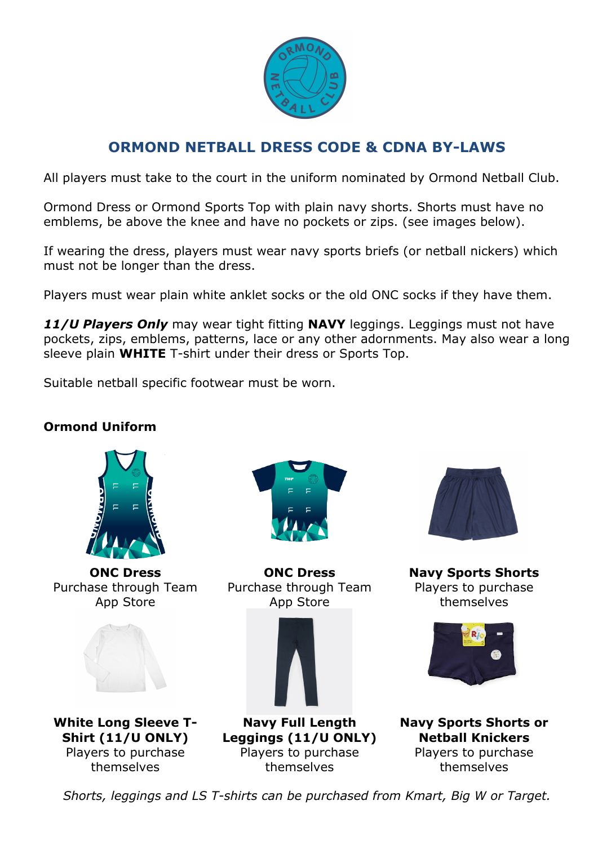

## **ORMOND NETBALL DRESS CODE & CDNA BY-LAWS**

All players must take to the court in the uniform nominated by Ormond Netball Club.

Ormond Dress or Ormond Sports Top with plain navy shorts. Shorts must have no emblems, be above the knee and have no pockets or zips. (see images below).

If wearing the dress, players must wear navy sports briefs (or netball nickers) which must not be longer than the dress.

Players must wear plain white anklet socks or the old ONC socks if they have them.

*11/U Players Only* may wear tight fitting **NAVY** leggings. Leggings must not have pockets, zips, emblems, patterns, lace or any other adornments. May also wear a long sleeve plain **WHITE** T-shirt under their dress or Sports Top.

Suitable netball specific footwear must be worn.

## **Ormond Uniform**



**ONC Dress** Purchase through Team App Store





**ONC Dress** Purchase through Team App Store





**Navy Full Length Leggings (11/U ONLY)** Players to purchase themselves



**Navy Sports Shorts** Players to purchase themselves



**Navy Sports Shorts or Netball Knickers** Players to purchase themselves

*Shorts, leggings and LS T-shirts can be purchased from Kmart, Big W or Target.*